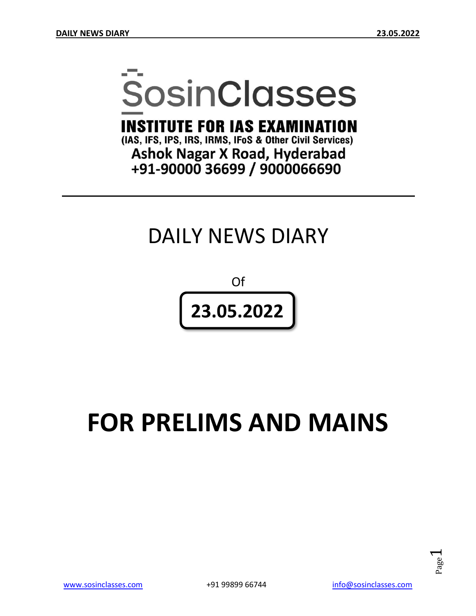# **SosinClasses**

**INSTITUTE FOR IAS EXAMINATION** 

(IAS, IFS, IPS, IRS, IRMS, IFoS & Other Civil Services) **Ashok Nagar X Road, Hyderabad** +91-90000 36699 / 9000066690

# DAILY NEWS DIARY

Of **23.05.2022**

# **FOR PRELIMS AND MAINS**

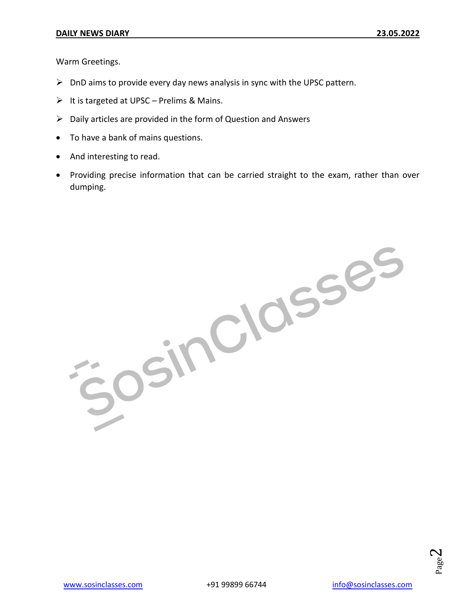Warm Greetings.

- $\triangleright$  DnD aims to provide every day news analysis in sync with the UPSC pattern.
- $\triangleright$  It is targeted at UPSC Prelims & Mains.
- $\triangleright$  Daily articles are provided in the form of Question and Answers
- To have a bank of mains questions.
- And interesting to read.
- Providing precise information that can be carried straight to the exam, rather than over dumping.

Josinclasses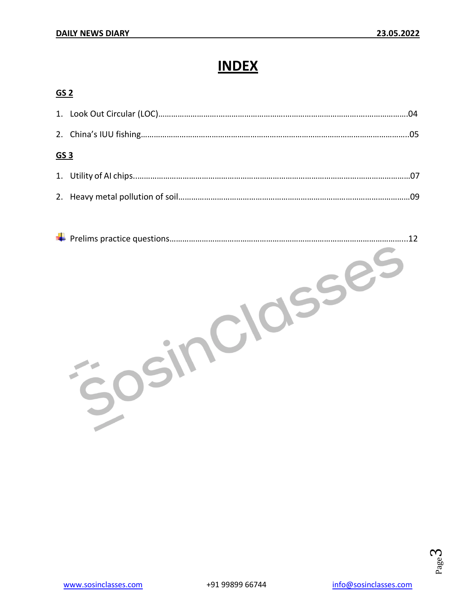# **INDEX**

#### **GS 2**

| GS <sub>3</sub> |  |  |
|-----------------|--|--|
|                 |  |  |
|                 |  |  |

|  | 12 |
|--|----|
|  |    |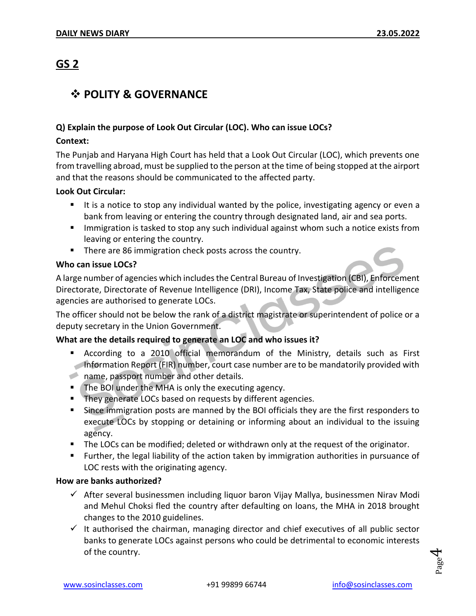# **GS 2**

# **POLITY & GOVERNANCE**

#### **Q) Explain the purpose of Look Out Circular (LOC). Who can issue LOCs?**

#### **Context:**

The Punjab and Haryana High Court has held that a Look Out Circular (LOC), which prevents one from travelling abroad, must be supplied to the person at the time of being stopped at the airport and that the reasons should be communicated to the affected party.

#### **Look Out Circular:**

- If is a notice to stop any individual wanted by the police, investigating agency or even a bank from leaving or entering the country through designated land, air and sea ports.
- **IMMI** Immigration is tasked to stop any such individual against whom such a notice exists from leaving or entering the country.
- **There are 86 immigration check posts across the country.**

#### **Who can issue LOCs?**

A large number of agencies which includes the Central Bureau of Investigation (CBI), Enforcement Directorate, Directorate of Revenue Intelligence (DRI), Income Tax, State police and intelligence agencies are authorised to generate LOCs.

The officer should not be below the rank of a district magistrate or superintendent of police or a deputy secretary in the Union Government.

#### **What are the details required to generate an LOC and who issues it?**

- According to a 2010 official memorandum of the Ministry, details such as First Information Report (FIR) number, court case number are to be mandatorily provided with
- name, passport number and other details.
- **The BOI under the MHA is only the executing agency.**
- **They generate LOCs based on requests by different agencies.**
- Since immigration posts are manned by the BOI officials they are the first responders to execute LOCs by stopping or detaining or informing about an individual to the issuing agency.
- The LOCs can be modified; deleted or withdrawn only at the request of the originator.
- Further, the legal liability of the action taken by immigration authorities in pursuance of LOC rests with the originating agency.

#### **How are banks authorized?**

- $\checkmark$  After several businessmen including liquor baron Vijay Mallya, businessmen Nirav Modi and Mehul Choksi fled the country after defaulting on loans, the MHA in 2018 brought changes to the 2010 guidelines.
- $\checkmark$  It authorised the chairman, managing director and chief executives of all public sector banks to generate LOCs against persons who could be detrimental to economic interests of the country.

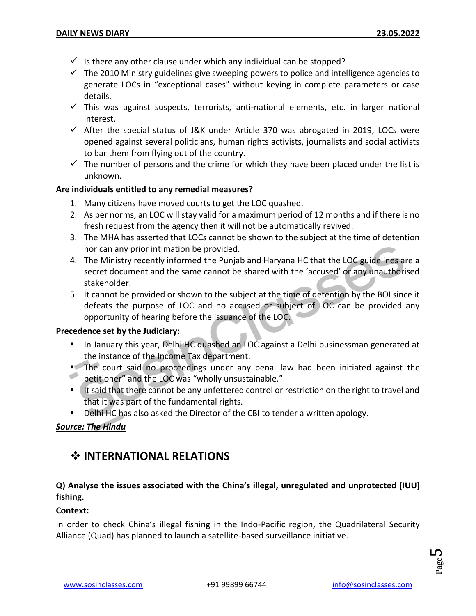- $\checkmark$  Is there any other clause under which any individual can be stopped?
- $\checkmark$  The 2010 Ministry guidelines give sweeping powers to police and intelligence agencies to generate LOCs in "exceptional cases" without keying in complete parameters or case details.
- $\checkmark$  This was against suspects, terrorists, anti-national elements, etc. in larger national interest.
- $\checkmark$  After the special status of J&K under Article 370 was abrogated in 2019, LOCs were opened against several politicians, human rights activists, journalists and social activists to bar them from flying out of the country.
- $\checkmark$  The number of persons and the crime for which they have been placed under the list is unknown.

#### **Are individuals entitled to any remedial measures?**

- 1. Many citizens have moved courts to get the LOC quashed.
- 2. As per norms, an LOC will stay valid for a maximum period of 12 months and if there is no fresh request from the agency then it will not be automatically revived.
- 3. The MHA has asserted that LOCs cannot be shown to the subject at the time of detention nor can any prior intimation be provided.
- 4. The Ministry recently informed the Punjab and Haryana HC that the LOC guidelines are a secret document and the same cannot be shared with the 'accused' or any unauthorised stakeholder.
- 5. It cannot be provided or shown to the subject at the time of detention by the BOI since it defeats the purpose of LOC and no accused or subject of LOC can be provided any opportunity of hearing before the issuance of the LOC.

#### **Precedence set by the Judiciary:**

- **In January this year, Delhi HC quashed an LOC against a Delhi businessman generated at** the instance of the Income Tax department.
- The court said no proceedings under any penal law had been initiated against the petitioner" and the LOC was "wholly unsustainable."
- If said that there cannot be any unfettered control or restriction on the right to travel and that it was part of the fundamental rights.
- **Delhi HC has also asked the Director of the CBI to tender a written apology.**

#### *Source: The Hindu*

# **INTERNATIONAL RELATIONS**

#### **Q) Analyse the issues associated with the China's illegal, unregulated and unprotected (IUU) fishing.**

#### **Context:**

In order to check China's illegal fishing in the Indo-Pacific region, the Quadrilateral Security Alliance (Quad) has planned to launch a satellite-based surveillance initiative.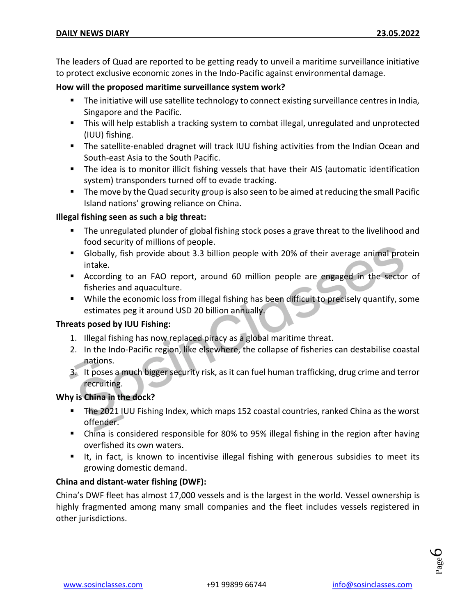The leaders of Quad are reported to be getting ready to unveil a maritime surveillance initiative to protect exclusive economic zones in the Indo-Pacific against environmental damage.

#### **How will the proposed maritime surveillance system work?**

- **The initiative will use satellite technology to connect existing surveillance centres in India,** Singapore and the Pacific.
- This will help establish a tracking system to combat illegal, unregulated and unprotected (IUU) fishing.
- The satellite-enabled dragnet will track IUU fishing activities from the Indian Ocean and South-east Asia to the South Pacific.
- The idea is to monitor illicit fishing vessels that have their AIS (automatic identification system) transponders turned off to evade tracking.
- **The move by the Quad security group is also seen to be aimed at reducing the small Pacific** Island nations' growing reliance on China.

#### **Illegal fishing seen as such a big threat:**

- **The unregulated plunder of global fishing stock poses a grave threat to the livelihood and** food security of millions of people.
- Globally, fish provide about 3.3 billion people with 20% of their average animal protein intake.
- According to an FAO report, around 60 million people are engaged in the sector of fisheries and aquaculture.
- While the economic loss from illegal fishing has been difficult to precisely quantify, some estimates peg it around USD 20 billion annually.

#### **Threats posed by IUU Fishing:**

- 1. Illegal fishing has now replaced piracy as a global maritime threat.
- 2. In the Indo-Pacific region, like elsewhere, the collapse of fisheries can destabilise coastal nations.
- 3. It poses a much bigger security risk, as it can fuel human trafficking, drug crime and terror recruiting.

#### **Why is China in the dock?**

- The 2021 IUU Fishing Index, which maps 152 coastal countries, ranked China as the worst offender.
- China is considered responsible for 80% to 95% illegal fishing in the region after having overfished its own waters.
- It, in fact, is known to incentivise illegal fishing with generous subsidies to meet its growing domestic demand.

#### **China and distant-water fishing (DWF):**

China's DWF fleet has almost 17,000 vessels and is the largest in the world. Vessel ownership is highly fragmented among many small companies and the fleet includes vessels registered in other jurisdictions.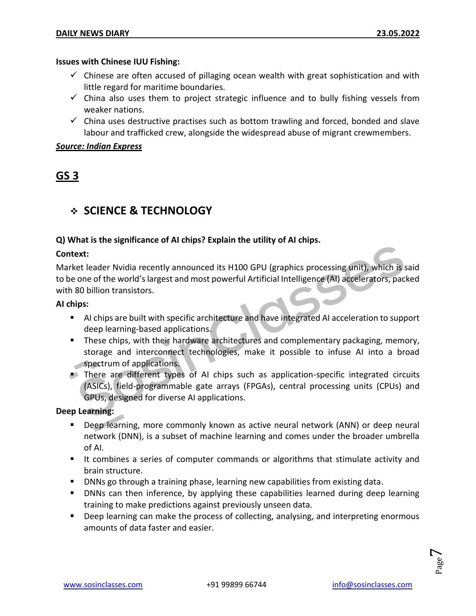#### **Issues with Chinese IUU Fishing:**

- $\checkmark$  Chinese are often accused of pillaging ocean wealth with great sophistication and with little regard for maritime boundaries.
- $\checkmark$  China also uses them to project strategic influence and to bully fishing vessels from weaker nations.
- $\checkmark$  China uses destructive practises such as bottom trawling and forced, bonded and slave labour and trafficked crew, alongside the widespread abuse of migrant crewmembers.

#### *Source: Indian Express*

# **GS 3**

# **SCIENCE & TECHNOLOGY**

#### **Q) What is the significance of AI chips? Explain the utility of AI chips.**

#### **Context:**

Market leader Nvidia recently announced its H100 GPU (graphics processing unit), which is said to be one of the world's largest and most powerful Artificial Intelligence (AI) accelerators, packed with 80 billion transistors.

#### **AI chips:**

- AI chips are built with specific architecture and have integrated AI acceleration to support deep learning-based applications.
- **These chips, with their hardware architectures and complementary packaging, memory,** storage and interconnect technologies, make it possible to infuse AI into a broad spectrum of applications.
- There are different types of AI chips such as application-specific integrated circuits (ASICs), field-programmable gate arrays (FPGAs), central processing units (CPUs) and GPUs, designed for diverse AI applications.

**Deep Learning:**

- Deep learning, more commonly known as active neural network (ANN) or deep neural network (DNN), is a subset of machine learning and comes under the broader umbrella of AI.
- It combines a series of computer commands or algorithms that stimulate activity and brain structure.
- DNNs go through a training phase, learning new capabilities from existing data.
- **DNNs can then inference, by applying these capabilities learned during deep learning** training to make predictions against previously unseen data.
- **Deep learning can make the process of collecting, analysing, and interpreting enormous** amounts of data faster and easier.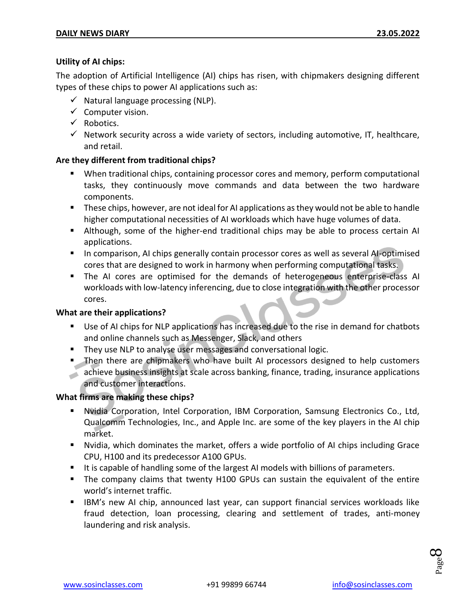#### **Utility of AI chips:**

The adoption of Artificial Intelligence (AI) chips has risen, with chipmakers designing different types of these chips to power AI applications such as:

- $\checkmark$  Natural language processing (NLP).
- $\checkmark$  Computer vision.
- $\checkmark$  Robotics.
- $\checkmark$  Network security across a wide variety of sectors, including automotive, IT, healthcare, and retail.

#### **Are they different from traditional chips?**

- When traditional chips, containing processor cores and memory, perform computational tasks, they continuously move commands and data between the two hardware components.
- **These chips, however, are not ideal for AI applications as they would not be able to handle** higher computational necessities of AI workloads which have huge volumes of data.
- Although, some of the higher-end traditional chips may be able to process certain AI applications.
- **In comparison, AI chips generally contain processor cores as well as several AI-optimised** cores that are designed to work in harmony when performing computational tasks.
- The AI cores are optimised for the demands of heterogeneous enterprise-class AI workloads with low-latency inferencing, due to close integration with the other processor cores.

#### **What are their applications?**

- Use of AI chips for NLP applications has increased due to the rise in demand for chatbots and online channels such as Messenger, Slack, and others
- **They use NLP to analyse user messages and conversational logic.**
- **Then there are chipmakers who have built AI processors designed to help customers** achieve business insights at scale across banking, finance, trading, insurance applications and customer interactions.

#### **What firms are making these chips?**

- Nvidia Corporation, Intel Corporation, IBM Corporation, Samsung Electronics Co., Ltd, Qualcomm Technologies, Inc., and Apple Inc. are some of the key players in the AI chip market.
- Nvidia, which dominates the market, offers a wide portfolio of AI chips including Grace CPU, H100 and its predecessor A100 GPUs.
- It is capable of handling some of the largest AI models with billions of parameters.
- The company claims that twenty H100 GPUs can sustain the equivalent of the entire world's internet traffic.
- IBM's new AI chip, announced last year, can support financial services workloads like fraud detection, loan processing, clearing and settlement of trades, anti-money laundering and risk analysis.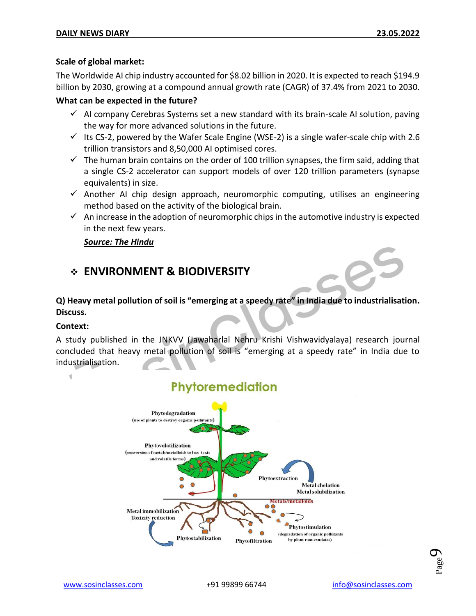#### **Scale of global market:**

The Worldwide AI chip industry accounted for \$8.02 billion in 2020. It is expected to reach \$194.9 billion by 2030, growing at a compound annual growth rate (CAGR) of 37.4% from 2021 to 2030.

#### **What can be expected in the future?**

- $\checkmark$  AI company Cerebras Systems set a new standard with its brain-scale AI solution, paving the way for more advanced solutions in the future.
- Its CS-2, powered by the Wafer Scale Engine (WSE-2) is a single wafer-scale chip with 2.6 trillion transistors and 8,50,000 AI optimised cores.
- $\checkmark$  The human brain contains on the order of 100 trillion synapses, the firm said, adding that a single CS-2 accelerator can support models of over 120 trillion parameters (synapse equivalents) in size.
- $\checkmark$  Another AI chip design approach, neuromorphic computing, utilises an engineering method based on the activity of the biological brain.
- $\checkmark$  An increase in the adoption of neuromorphic chips in the automotive industry is expected in the next few years.

#### *Source: The Hindu*

#### **ENVIRONMENT & BIODIVERSITY**

#### **Q) Heavy metal pollution of soil is "emerging at a speedy rate" in India due to industrialisation. Discuss.**

#### **Context:**

 $\blacksquare$ 

A study published in the JNKVV (Jawaharlal Nehru Krishi Vishwavidyalaya) research journal concluded that heavy metal pollution of soil is "emerging at a speedy rate" in India due to industrialisation.



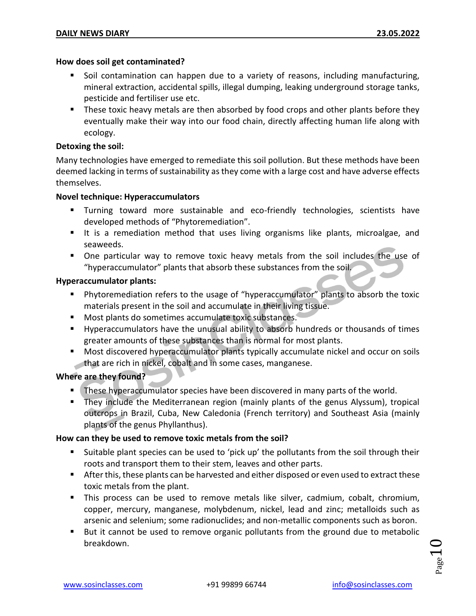#### **How does soil get contaminated?**

- Soil contamination can happen due to a variety of reasons, including manufacturing, mineral extraction, accidental spills, illegal dumping, leaking underground storage tanks, pesticide and fertiliser use etc.
- **These toxic heavy metals are then absorbed by food crops and other plants before they** eventually make their way into our food chain, directly affecting human life along with ecology.

#### **Detoxing the soil:**

Many technologies have emerged to remediate this soil pollution. But these methods have been deemed lacking in terms of sustainability as they come with a large cost and have adverse effects themselves.

#### **Novel technique: Hyperaccumulators**

- Turning toward more sustainable and eco-friendly technologies, scientists have developed methods of "Phytoremediation".
- It is a remediation method that uses living organisms like plants, microalgae, and seaweeds.
- One particular way to remove toxic heavy metals from the soil includes the use of "hyperaccumulator" plants that absorb these substances from the soil.

#### **Hyperaccumulator plants:**

- Phytoremediation refers to the usage of "hyperaccumulator" plants to absorb the toxic materials present in the soil and accumulate in their living tissue.
- **Most plants do sometimes accumulate toxic substances.**
- Hyperaccumulators have the unusual ability to absorb hundreds or thousands of times greater amounts of these substances than is normal for most plants.
- Most discovered hyperaccumulator plants typically accumulate nickel and occur on soils that are rich in nickel, cobalt and in some cases, manganese.

#### **Where are they found?**

- **These hyperaccumulator species have been discovered in many parts of the world.**
- They include the Mediterranean region (mainly plants of the genus Alyssum), tropical outcrops in Brazil, Cuba, New Caledonia (French territory) and Southeast Asia (mainly plants of the genus Phyllanthus).

#### **How can they be used to remove toxic metals from the soil?**

- Suitable plant species can be used to 'pick up' the pollutants from the soil through their roots and transport them to their stem, leaves and other parts.
- **After this, these plants can be harvested and either disposed or even used to extract these** toxic metals from the plant.
- This process can be used to remove metals like silver, cadmium, cobalt, chromium, copper, mercury, manganese, molybdenum, nickel, lead and zinc; metalloids such as arsenic and selenium; some radionuclides; and non-metallic components such as boron.
- **But it cannot be used to remove organic pollutants from the ground due to metabolic** breakdown.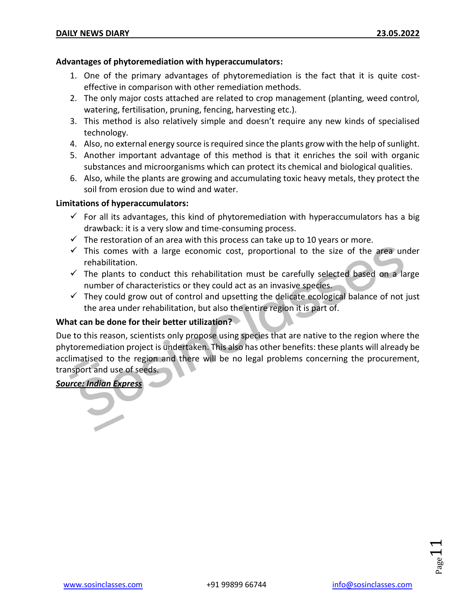#### **Advantages of phytoremediation with hyperaccumulators:**

- 1. One of the primary advantages of phytoremediation is the fact that it is quite costeffective in comparison with other remediation methods.
- 2. The only major costs attached are related to crop management (planting, weed control, watering, fertilisation, pruning, fencing, harvesting etc.).
- 3. This method is also relatively simple and doesn't require any new kinds of specialised technology.
- 4. Also, no external energy source is required since the plants grow with the help of sunlight.
- 5. Another important advantage of this method is that it enriches the soil with organic substances and microorganisms which can protect its chemical and biological qualities.
- 6. Also, while the plants are growing and accumulating toxic heavy metals, they protect the soil from erosion due to wind and water.

#### **Limitations of hyperaccumulators:**

- $\checkmark$  For all its advantages, this kind of phytoremediation with hyperaccumulators has a big drawback: it is a very slow and time-consuming process.
- $\checkmark$  The restoration of an area with this process can take up to 10 years or more.
- $\checkmark$  This comes with a large economic cost, proportional to the size of the area under rehabilitation.
- $\checkmark$  The plants to conduct this rehabilitation must be carefully selected based on a large number of characteristics or they could act as an invasive species.
- $\checkmark$  They could grow out of control and upsetting the delicate ecological balance of not just the area under rehabilitation, but also the entire region it is part of.

#### **What can be done for their better utilization?**

Due to this reason, scientists only propose using species that are native to the region where the phytoremediation project is undertaken. This also has other benefits: these plants will already be acclimatised to the region and there will be no legal problems concerning the procurement, transport and use of seeds.

#### *Source: Indian Express*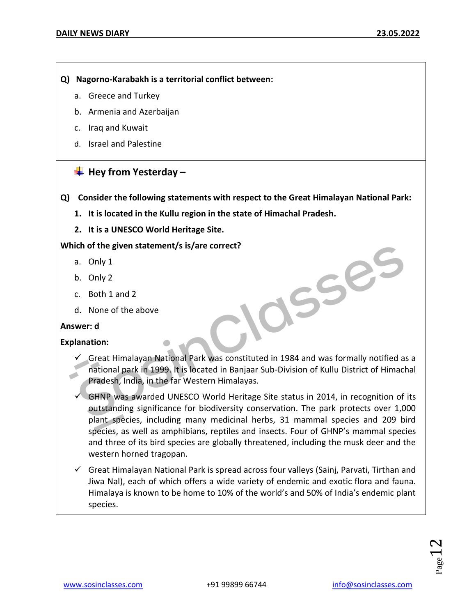- **Q) Nagorno-Karabakh is a territorial conflict between:**
	- a. Greece and Turkey
	- b. Armenia and Azerbaijan
	- c. Iraq and Kuwait
	- d. Israel and Palestine

#### **Hey from Yesterday –**

- **Q) Consider the following statements with respect to the Great Himalayan National Park:**
	- **1. It is located in the Kullu region in the state of Himachal Pradesh.**
	- **2. It is a UNESCO World Heritage Site.**

**Which of the given statement/s is/are correct?** 

- a. Only 1
- b. Only 2
- c. Both 1 and 2
- d. None of the above

#### **Answer: d**

#### **Explanation:**

 $\checkmark$  Great Himalayan National Park was constituted in 1984 and was formally notified as a national park in 1999. It is located in Banjaar Sub-Division of Kullu District of Himachal Pradesh, India, in the far Western Himalayas.

OSSES

- $\checkmark$  GHNP was awarded UNESCO World Heritage Site status in 2014, in recognition of its outstanding significance for biodiversity conservation. The park protects over 1,000 plant species, including many medicinal herbs, 31 mammal species and 209 bird species, as well as amphibians, reptiles and insects. Four of GHNP's mammal species and three of its bird species are globally threatened, including the musk deer and the western horned tragopan.
- $\checkmark$  Great Himalayan National Park is spread across four valleys (Sainj, Parvati, Tirthan and Jiwa Nal), each of which offers a wide variety of endemic and exotic flora and fauna. Himalaya is known to be home to 10% of the world's and 50% of India's endemic plant species.